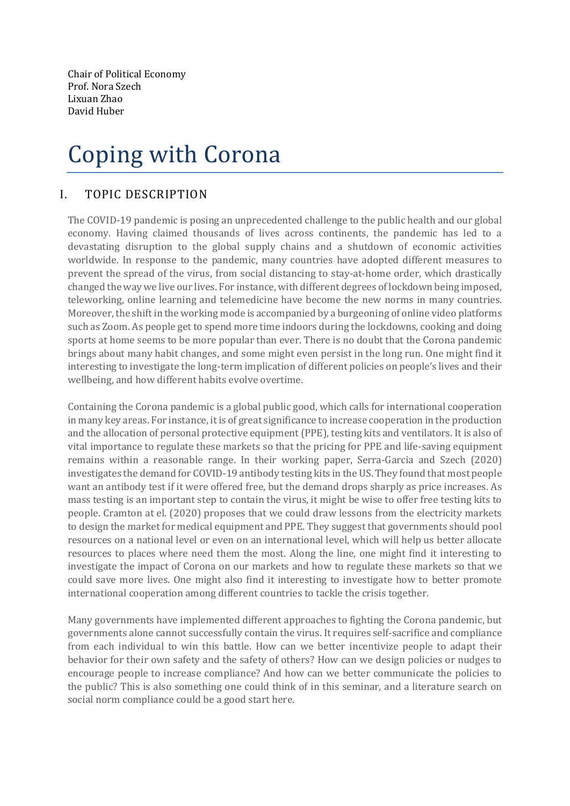Chair of Political Economy Prof. Nora Szech Lixuan Zhao David Huber

## Coping with Corona

## I. TOPIC DESCRIPTION

The COVID-19 pandemic is posing an unprecedented challenge to the public health and our global economy. Having claimed thousands of lives across continents, the pandemic has led to a devastating disruption to the global supply chains and a shutdown of economic activities worldwide. In response to the pandemic, many countries have adopted different measures to prevent the spread of the virus, from social distancing to stay-at-home order, which drastically changed the way we live our lives. For instance, with different degrees of lockdown being imposed, teleworking, online learning and telemedicine have become the new norms in many countries. Moreover, the shift in the working mode is accompanied by a burgeoning of online video platforms such as Zoom. As people get to spend more time indoors during the lockdowns, cooking and doing sports at home seems to be more popular than ever. There is no doubt that the Corona pandemic brings about many habit changes, and some might even persist in the long run. One might find it interesting to investigate the long-term implication of different policies on people's lives and their wellbeing, and how different habits evolve overtime.

Containing the Corona pandemic is a global public good, which calls for international cooperation in many key areas. For instance, it is of great significance to increase cooperation in the production and the allocation of personal protective equipment (PPE), testing kits and ventilators. It is also of vital importance to regulate these markets so that the pricing for PPE and life-saving equipment remains within a reasonable range. In their working paper, Serra-Garcia and Szech (2020) investigates the demand for COVID-19 antibody testing kits in the US. They found that most people want an antibody test if it were offered free, but the demand drops sharply as price increases. As mass testing is an important step to contain the virus, it might be wise to offer free testing kits to people. Cramton at el. (2020) proposes that we could draw lessons from the electricity markets to design the market for medical equipment and PPE. They suggest that governments should pool resources on a national level or even on an international level, which will help us better allocate resources to places where need them the most. Along the line, one might find it interesting to investigate the impact of Corona on our markets and how to regulate these markets so that we could save more lives. One might also find it interesting to investigate how to better promote international cooperation among different countries to tackle the crisis together.

Many governments have implemented different approaches to fighting the Corona pandemic, but governments alone cannot successfully contain the virus. It requires self-sacrifice and compliance from each individual to win this battle. How can we better incentivize people to adapt their behavior for their own safety and the safety of others? How can we design policies or nudges to encourage people to increase compliance? And how can we better communicate the policies to the public? This is also something one could think of in this seminar, and a literature search on social norm compliance could be a good start here.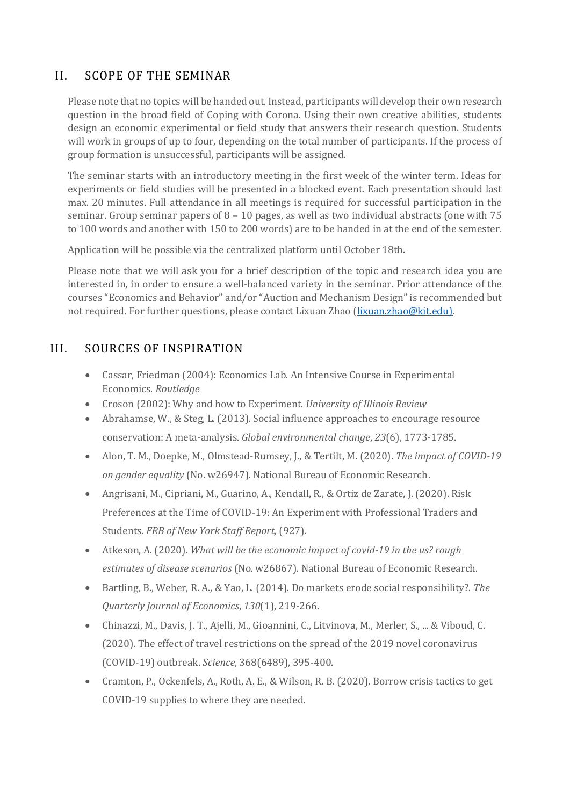## II. SCOPE OF THE SEMINAR

Please note that no topics will be handed out. Instead, participants will develop their own research question in the broad field of Coping with Corona. Using their own creative abilities, students design an economic experimental or field study that answers their research question. Students will work in groups of up to four, depending on the total number of participants. If the process of group formation is unsuccessful, participants will be assigned.

The seminar starts with an introductory meeting in the first week of the winter term. Ideas for experiments or field studies will be presented in a blocked event. Each presentation should last max. 20 minutes. Full attendance in all meetings is required for successful participation in the seminar. Group seminar papers of 8 – 10 pages, as well as two individual abstracts (one with 75 to 100 words and another with 150 to 200 words) are to be handed in at the end of the semester.

Application will be possible via the centralized platform until October 18th.

Please note that we will ask you for a brief description of the topic and research idea you are interested in, in order to ensure a well-balanced variety in the seminar. Prior attendance of the courses "Economics and Behavior" and/or "Auction and Mechanism Design" is recommended but not required. For further questions, please contact Lixuan Zhao [\(lixuan.zhao@kit.edu\).](mailto:lixuan.zhao@kit.edu))

## III. SOURCES OF INSPIRATION

- Cassar, Friedman (2004): Economics Lab. An Intensive Course in Experimental Economics. *Routledge*
- Croson (2002): Why and how to Experiment. *University of Illinois Review*
- Abrahamse, W., & Steg, L. (2013). Social influence approaches to encourage resource conservation: A meta-analysis. *Global environmental change*, *23*(6), 1773-1785.
- Alon, T. M., Doepke, M., Olmstead-Rumsey, J., & Tertilt, M. (2020). *The impact of COVID-19 on gender equality* (No. w26947). National Bureau of Economic Research.
- Angrisani, M., Cipriani, M., Guarino, A., Kendall, R., & Ortiz de Zarate, J. (2020). Risk Preferences at the Time of COVID-19: An Experiment with Professional Traders and Students*. FRB of New York Staff Report,* (927).
- Atkeson, A. (2020). *What will be the economic impact of covid-19 in the us? rough estimates of disease scenarios* (No. w26867). National Bureau of Economic Research.
- Bartling, B., Weber, R. A., & Yao, L. (2014). Do markets erode social responsibility?. *The Quarterly Journal of Economics*, *130*(1), 219-266.
- Chinazzi, M., Davis, J. T., Ajelli, M., Gioannini, C., Litvinova, M., Merler, S., ... & Viboud, C. (2020). The effect of travel restrictions on the spread of the 2019 novel coronavirus (COVID-19) outbreak. *Science*, 368(6489), 395-400.
- Cramton, P., Ockenfels, A., Roth, A. E., & Wilson, R. B. (2020). Borrow crisis tactics to get COVID-19 supplies to where they are needed.